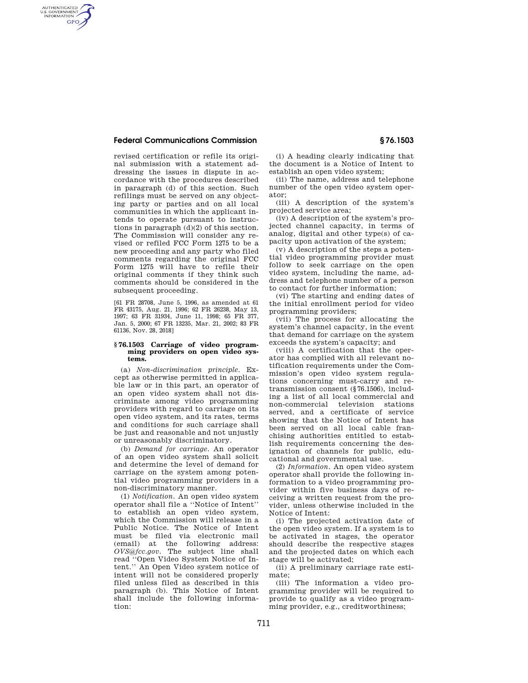# **Federal Communications Commission § 76.1503**

AUTHENTICATED<br>U.S. GOVERNMENT<br>INFORMATION **GPO** 

> revised certification or refile its original submission with a statement addressing the issues in dispute in accordance with the procedures described in paragraph (d) of this section. Such refilings must be served on any objecting party or parties and on all local communities in which the applicant intends to operate pursuant to instructions in paragraph (d)(2) of this section. The Commission will consider any revised or refiled FCC Form 1275 to be a new proceeding and any party who filed comments regarding the original FCC Form 1275 will have to refile their original comments if they think such comments should be considered in the subsequent proceeding.

[61 FR 28708, June 5, 1996, as amended at 61 FR 43175, Aug. 21, 1996; 62 FR 26238, May 13, 1997; 63 FR 31934, June 11, 1998; 65 FR 377, Jan. 5, 2000; 67 FR 13235, Mar. 21, 2002; 83 FR 61136, Nov. 28, 2018]

### **§ 76.1503 Carriage of video programming providers on open video systems.**

(a) *Non-discrimination principle.* Except as otherwise permitted in applicable law or in this part, an operator of an open video system shall not discriminate among video programming providers with regard to carriage on its open video system, and its rates, terms and conditions for such carriage shall be just and reasonable and not unjustly or unreasonably discriminatory.

(b) *Demand for carriage.* An operator of an open video system shall solicit and determine the level of demand for carriage on the system among potential video programming providers in a non-discriminatory manner.

(1) *Notification.* An open video system operator shall file a ''Notice of Intent'' to establish an open video system, which the Commission will release in a Public Notice. The Notice of Intent must be filed via electronic mail (email) at the following address: *OVS@fcc.gov.* The subject line shall read ''Open Video System Notice of Intent.'' An Open Video system notice of intent will not be considered properly filed unless filed as described in this paragraph (b). This Notice of Intent shall include the following information:

(i) A heading clearly indicating that the document is a Notice of Intent to establish an open video system;

(ii) The name, address and telephone number of the open video system operator;

(iii) A description of the system's projected service area;

(iv) A description of the system's projected channel capacity, in terms of analog, digital and other type(s) of capacity upon activation of the system;

(v) A description of the steps a potential video programming provider must follow to seek carriage on the open video system, including the name, address and telephone number of a person to contact for further information;

(vi) The starting and ending dates of the initial enrollment period for video programming providers;

(vii) The process for allocating the system's channel capacity, in the event that demand for carriage on the system exceeds the system's capacity; and

(viii) A certification that the operator has complied with all relevant notification requirements under the Commission's open video system regulations concerning must-carry and retransmission consent (§76.1506), including a list of all local commercial and non-commercial television stations served, and a certificate of service showing that the Notice of Intent has been served on all local cable franchising authorities entitled to establish requirements concerning the designation of channels for public, educational and governmental use.

(2) *Information.* An open video system operator shall provide the following information to a video programming provider within five business days of receiving a written request from the provider, unless otherwise included in the Notice of Intent:

(i) The projected activation date of the open video system. If a system is to be activated in stages, the operator should describe the respective stages and the projected dates on which each stage will be activated;

(ii) A preliminary carriage rate estimate;

(iii) The information a video programming provider will be required to provide to qualify as a video programming provider, e.g., creditworthiness;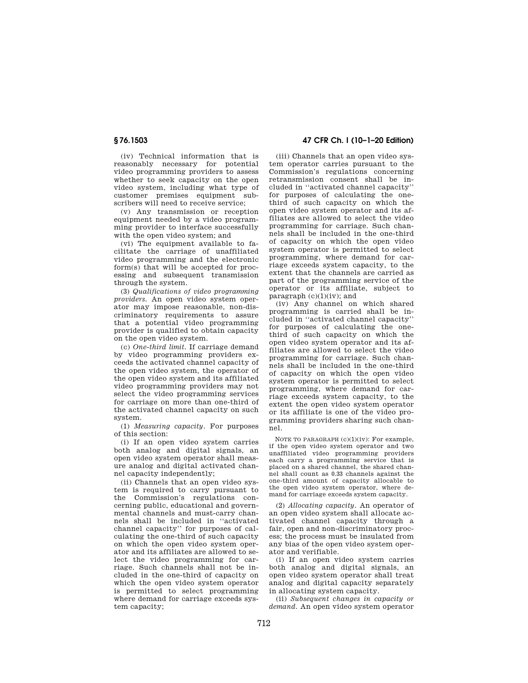(iv) Technical information that is reasonably necessary for potential video programming providers to assess whether to seek capacity on the open video system, including what type of customer premises equipment subscribers will need to receive service;

(v) Any transmission or reception equipment needed by a video programming provider to interface successfully with the open video system; and

(vi) The equipment available to facilitate the carriage of unaffiliated video programming and the electronic form(s) that will be accepted for processing and subsequent transmission through the system.

(3) *Qualifications of video programming providers.* An open video system operator may impose reasonable, non-discriminatory requirements to assure that a potential video programming provider is qualified to obtain capacity on the open video system.

(c) *One-third limit.* If carriage demand by video programming providers exceeds the activated channel capacity of the open video system, the operator of the open video system and its affiliated video programming providers may not select the video programming services for carriage on more than one-third of the activated channel capacity on such system.

(1) *Measuring capacity.* For purposes of this section:

(i) If an open video system carries both analog and digital signals, an open video system operator shall measure analog and digital activated channel capacity independently;

(ii) Channels that an open video system is required to carry pursuant to the Commission's regulations concerning public, educational and governmental channels and must-carry channels shall be included in ''activated channel capacity'' for purposes of calculating the one-third of such capacity on which the open video system operator and its affiliates are allowed to select the video programming for carriage. Such channels shall not be included in the one-third of capacity on which the open video system operator is permitted to select programming where demand for carriage exceeds system capacity;

# **§ 76.1503 47 CFR Ch. I (10–1–20 Edition)**

(iii) Channels that an open video system operator carries pursuant to the Commission's regulations concerning retransmission consent shall be included in ''activated channel capacity'' for purposes of calculating the onethird of such capacity on which the open video system operator and its affiliates are allowed to select the video programming for carriage. Such channels shall be included in the one-third of capacity on which the open video system operator is permitted to select programming, where demand for carriage exceeds system capacity, to the extent that the channels are carried as part of the programming service of the operator or its affiliate, subject to paragraph  $(c)(1)(iv)$ ; and

(iv) Any channel on which shared programming is carried shall be included in ''activated channel capacity'' for purposes of calculating the onethird of such capacity on which the open video system operator and its affiliates are allowed to select the video programming for carriage. Such channels shall be included in the one-third of capacity on which the open video system operator is permitted to select programming, where demand for carriage exceeds system capacity, to the extent the open video system operator or its affiliate is one of the video programming providers sharing such channel.

NOTE TO PARAGRAPH (c)(1)(iv): For example, if the open video system operator and two unaffiliated video programming providers each carry a programming service that is placed on a shared channel, the shared channel shall count as 0.33 channels against the one-third amount of capacity allocable to the open video system operator, where demand for carriage exceeds system capacity.

(2) *Allocating capacity.* An operator of an open video system shall allocate activated channel capacity through a fair, open and non-discriminatory process; the process must be insulated from any bias of the open video system operator and verifiable.

(i) If an open video system carries both analog and digital signals, an open video system operator shall treat analog and digital capacity separately in allocating system capacity.

(ii) *Subsequent changes in capacity or demand.* An open video system operator